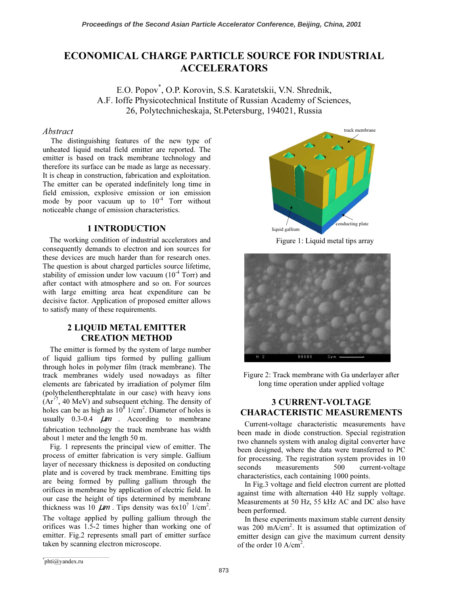# ECONOMICAL CHARGE PARTICLE SOURCE FOR INDUSTRIAL ACCELERATORS

E.O. Popov*\** , O.P. Korovin, S.S. Karatetskii, V.N. Shrednik, A.F. Ioffe Physicotechnical Institute of Russian Academy of Sciences, 26, Polytechnicheskaja, St.Petersburg, 194021, Russia

## Abstract

The distinguishing features of the new type of unheated liquid metal field emitter are reported. The emitter is based on track membrane technology and therefore its surface can be made as large as necessary. It is cheap in construction, fabrication and exploitation. The emitter can be operated indefinitely long time in field emission, explosive emission or ion emission mode by poor vacuum up to  $10^{-4}$  Torr without noticeable change of emission characteristics.

### 1 INTRODUCTION

The working condition of industrial accelerators and consequently demands to electron and ion sources for these devices are much harder than for research ones. The question is about charged particles source lifetime, stability of emission under low vacuum  $(10<sup>-4</sup> Torr)$  and after contact with atmosphere and so on. For sources with large emitting area heat expenditure can be decisive factor. Application of proposed emitter allows to satisfy many of these requirements.

## 2 LIQUID METAL EMITTER CREATION METHOD

The emitter is formed by the system of large number of liquid gallium tips formed by pulling gallium through holes in polymer film (track membrane). The track membranes widely used nowadays as filter elements are fabricated by irradiation of polymer film (polythelentherephtalate in our case) with heavy ions  $(Ar^{+7}, 40 \text{ MeV})$  and subsequent etching. The density of holes can be as high as  $10^8$  1/cm<sup>2</sup>. Diameter of holes is usually  $0.3-0.4$   $\mu$ m. According to membrane fabrication technology the track membrane has width about 1 meter and the length 50 m.

Fig. 1 represents the principal view of emitter. The process of emitter fabrication is very simple. Gallium layer of necessary thickness is deposited on conducting plate and is covered by track membrane. Emitting tips are being formed by pulling gallium through the orifices in membrane by application of electric field. In our case the height of tips determined by membrane thickness was  $10 \mu m$ . Tips density was  $6x10^7$  1/cm<sup>2</sup>. The voltage applied by pulling gallium through the orifices was 1.5-2 times higher than working one of emitter. Fig.2 represents small part of emitter surface taken by scanning electron microscope.



Figure 1: Liquid metal tips array





## 3 CURRENT-VOLTAGE CHARACTERISTIC MEASUREMENTS

Current-voltage characteristic measurements have been made in diode construction. Special registration two channels system with analog digital converter have been designed, where the data were transferred to PC for processing. The registration system provides in 10 seconds measurements 500 current-voltage characteristics, each containing 1000 points.

In Fig.3 voltage and field electron current are plotted against time with alternation 440 Hz supply voltage. Measurements at 50 Hz, 55 kHz AC and DC also have been performed.

In these experiments maximum stable current density was 200 mA/cm<sup>2</sup>. It is assumed that optimization of emitter design can give the maximum current density of the order  $10 \text{ A/cm}^2$ .